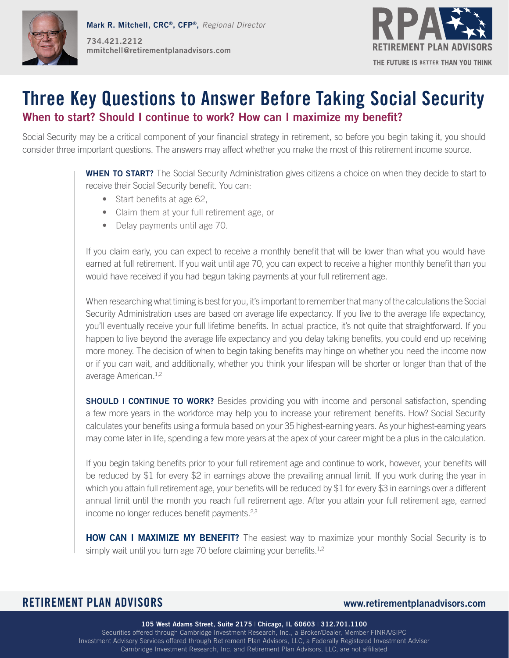



# **Three Key Questions to Answer Before Taking Social Security When to start? Should I continue to work? How can I maximize my benefit?**

Social Security may be a critical component of your financial strategy in retirement, so before you begin taking it, you should consider three important questions. The answers may affect whether you make the most of this retirement income source.

> **WHEN TO START?** The Social Security Administration gives citizens a choice on when they decide to start to receive their Social Security benefit. You can:

- Start benefits at age 62,
- Claim them at your full retirement age, or
- Delay payments until age 70.

If you claim early, you can expect to receive a monthly benefit that will be lower than what you would have earned at full retirement. If you wait until age 70, you can expect to receive a higher monthly benefit than you would have received if you had begun taking payments at your full retirement age.

When researching what timing is best for you, it's important to remember that many of the calculations the Social Security Administration uses are based on average life expectancy. If you live to the average life expectancy, you'll eventually receive your full lifetime benefits. In actual practice, it's not quite that straightforward. If you happen to live beyond the average life expectancy and you delay taking benefits, you could end up receiving more money. The decision of when to begin taking benefits may hinge on whether you need the income now or if you can wait, and additionally, whether you think your lifespan will be shorter or longer than that of the average American.1,2

**SHOULD I CONTINUE TO WORK?** Besides providing you with income and personal satisfaction, spending a few more years in the workforce may help you to increase your retirement benefits. How? Social Security calculates your benefits using a formula based on your 35 highest-earning years. As your highest-earning years may come later in life, spending a few more years at the apex of your career might be a plus in the calculation.

If you begin taking benefits prior to your full retirement age and continue to work, however, your benefits will be reduced by \$1 for every \$2 in earnings above the prevailing annual limit. If you work during the year in which you attain full retirement age, your benefits will be reduced by \$1 for every \$3 in earnings over a different annual limit until the month you reach full retirement age. After you attain your full retirement age, earned income no longer reduces benefit payments.<sup>2,3</sup>

**HOW CAN I MAXIMIZE MY BENEFIT?** The easiest way to maximize your monthly Social Security is to simply wait until you turn age 70 before claiming your benefits. $1,2$ 

# **RETIREMENT PLAN ADVISORS www.retirementplanadvisors.com**

**105 West Adams Street, Suite 2175** | **Chicago, IL 60603** | **312.701.1100** Securities offered through Cambridge Investment Research, Inc., a Broker/Dealer, Member FINRA/SIPC Investment Advisory Services offered through Retirement Plan Advisors, LLC, a Federally Registered Investment Adviser Cambridge Investment Research, Inc. and Retirement Plan Advisors, LLC, are not affiliated